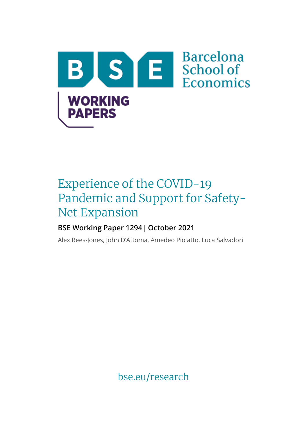

# Experience of the COVID-19 Pandemic and Support for Safety-Net Expansion

# **BSE Working Paper 1294| October 2021**

Alex Rees-Jones, John D'Attoma, Amedeo Piolatto, Luca Salvadori

bse.eu/research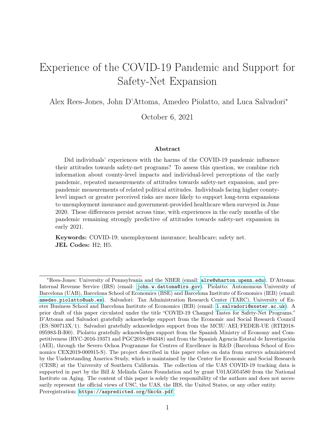# Experience of the COVID-19 Pandemic and Support for Safety-Net Expansion

Alex Rees-Jones, John D'Attoma, Amedeo Piolatto, and Luca Salvadori<sup>∗</sup>

October 6, 2021

#### Abstract

Did individuals' experiences with the harms of the COVID-19 pandemic influence their attitudes towards safety-net programs? To assess this question, we combine rich information about county-level impacts and individual-level perceptions of the early pandemic, repeated measurements of attitudes towards safety-net expansion, and prepandemic measurements of related political attitudes. Individuals facing higher countylevel impact or greater perceived risks are more likely to support long-term expansions to unemployment insurance and government-provided healthcare when surveyed in June 2020. These differences persist across time, with experiences in the early months of the pandemic remaining strongly predictive of attitudes towards safety-net expansion in early 2021.

Keywords: COVID-19; unemployment insurance; healthcare; safety net. JEL Codes: H2; H5.

<sup>∗</sup>Rees-Jones: University of Pennsylvania and the NBER (email: [alre@wharton.upenn.edu](mailto:alre@wharton.upenn.edu)). D'Attoma: Internal Revenue Service (IRS) (email: [john.w.dattoma@irs.gov](mailto:john.w.dattoma@irs.gov)). Piolatto: Autonomous University of Barcelona (UAB), Barcelona School of Economics (BSE) and Barcelona Institute of Economics (IEB) (email: [amedeo.piolatto@uab.es](mailto:amedeo.piolatto@uab.es)). Salvadori: Tax Administration Research Center (TARC), University of Exeter Business School and Barcelona Institute of Economics (IEB) (email: [l.salvadori@exeter.ac.uk](mailto:l.salvadori@exeter.ac.uk)). A prior draft of this paper circulated under the title "COVID-19 Changed Tastes for Safety-Net Programs." D'Attoma and Salvadori gratefully acknowledge support from the Economic and Social Research Council (ES/S00713X/1). Salvadori gratefully acknowledges support from the MCIU/AEI/FEDER-UE (RTI2018- 095983-B-I00). Piolatto gratefully acknowledges support from the Spanish Ministry of Economy and Competitiveness (RYC-2016-19371 and PGC2018-094348) and from the Spanish Agencia Estatal de Investigación (AEI), through the Severo Ochoa Programme for Centres of Excellence in R&D (Barcelona School of Economics CEX2019-000915-S). The project described in this paper relies on data from surveys administered by the Understanding America Study, which is maintained by the Center for Economic and Social Research (CESR) at the University of Southern California. The collection of the UAS COVID-19 tracking data is supported in part by the Bill & Melinda Gates Foundation and by grant U01AG054580 from the National Institute on Aging. The content of this paper is solely the responsibility of the authors and does not necessarily represent the official views of USC, the UAS, the IRS, the United States, or any other entity. Preregistration: <https://aspredicted.org/5kc4x.pdf>.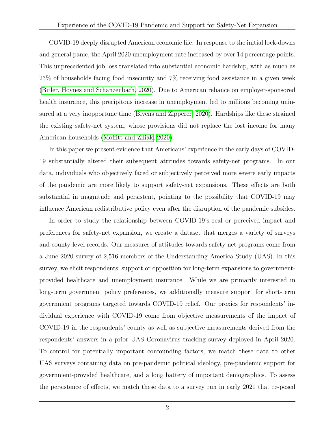COVID-19 deeply disrupted American economic life. In response to the initial lock-downs and general panic, the April 2020 unemployment rate increased by over 14 percentage points. This unprecedented job loss translated into substantial economic hardship, with as much as 23% of households facing food insecurity and 7% receiving food assistance in a given week [\(Bitler, Hoynes and Schanzenbach, 2020\)](#page-23-0). Due to American reliance on employer-sponsored health insurance, this precipitous increase in unemployment led to millions becoming uninsured at a very inopportune time [\(Bivens and Zipperer, 2020\)](#page-23-1). Hardships like these strained the existing safety-net system, whose provisions did not replace the lost income for many American households [\(Moffitt and Ziliak, 2020\)](#page-25-0).

In this paper we present evidence that Americans' experience in the early days of COVID-19 substantially altered their subsequent attitudes towards safety-net programs. In our data, individuals who objectively faced or subjectively perceived more severe early impacts of the pandemic are more likely to support safety-net expansions. These effects are both substantial in magnitude and persistent, pointing to the possibility that COVID-19 may influence American redistributive policy even after the disruption of the pandemic subsides.

In order to study the relationship between COVID-19's real or perceived impact and preferences for safety-net expansion, we create a dataset that merges a variety of surveys and county-level records. Our measures of attitudes towards safety-net programs come from a June 2020 survey of 2,516 members of the Understanding America Study (UAS). In this survey, we elicit respondents' support or opposition for long-term expansions to governmentprovided healthcare and unemployment insurance. While we are primarily interested in long-term government policy preferences, we additionally measure support for short-term government programs targeted towards COVID-19 relief. Our proxies for respondents' individual experience with COVID-19 come from objective measurements of the impact of COVID-19 in the respondents' county as well as subjective measurements derived from the respondents' answers in a prior UAS Coronavirus tracking survey deployed in April 2020. To control for potentially important confounding factors, we match these data to other UAS surveys containing data on pre-pandemic political ideology, pre-pandemic support for government-provided healthcare, and a long battery of important demographics. To assess the persistence of effects, we match these data to a survey run in early 2021 that re-posed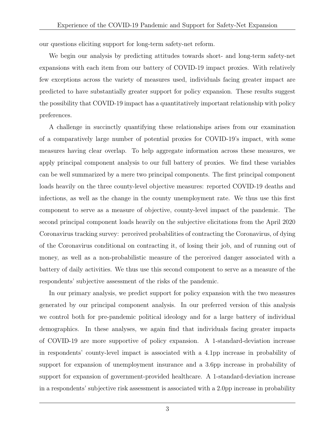our questions eliciting support for long-term safety-net reform.

We begin our analysis by predicting attitudes towards short- and long-term safety-net expansions with each item from our battery of COVID-19 impact proxies. With relatively few exceptions across the variety of measures used, individuals facing greater impact are predicted to have substantially greater support for policy expansion. These results suggest the possibility that COVID-19 impact has a quantitatively important relationship with policy preferences.

A challenge in succinctly quantifying these relationships arises from our examination of a comparatively large number of potential proxies for COVID-19's impact, with some measures having clear overlap. To help aggregate information across these measures, we apply principal component analysis to our full battery of proxies. We find these variables can be well summarized by a mere two principal components. The first principal component loads heavily on the three county-level objective measures: reported COVID-19 deaths and infections, as well as the change in the county unemployment rate. We thus use this first component to serve as a measure of objective, county-level impact of the pandemic. The second principal component loads heavily on the subjective elicitations from the April 2020 Coronavirus tracking survey: perceived probabilities of contracting the Coronavirus, of dying of the Coronavirus conditional on contracting it, of losing their job, and of running out of money, as well as a non-probabilistic measure of the perceived danger associated with a battery of daily activities. We thus use this second component to serve as a measure of the respondents' subjective assessment of the risks of the pandemic.

In our primary analysis, we predict support for policy expansion with the two measures generated by our principal component analysis. In our preferred version of this analysis we control both for pre-pandemic political ideology and for a large battery of individual demographics. In these analyses, we again find that individuals facing greater impacts of COVID-19 are more supportive of policy expansion. A 1-standard-deviation increase in respondents' county-level impact is associated with a 4.1pp increase in probability of support for expansion of unemployment insurance and a 3.6pp increase in probability of support for expansion of government-provided healthcare. A 1-standard-deviation increase in a respondents' subjective risk assessment is associated with a 2.0pp increase in probability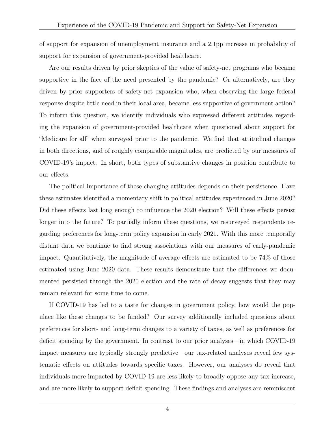of support for expansion of unemployment insurance and a 2.1pp increase in probability of support for expansion of government-provided healthcare.

Are our results driven by prior skeptics of the value of safety-net programs who became supportive in the face of the need presented by the pandemic? Or alternatively, are they driven by prior supporters of safety-net expansion who, when observing the large federal response despite little need in their local area, became less supportive of government action? To inform this question, we identify individuals who expressed different attitudes regarding the expansion of government-provided healthcare when questioned about support for "Medicare for all" when surveyed prior to the pandemic. We find that attitudinal changes in both directions, and of roughly comparable magnitudes, are predicted by our measures of COVID-19's impact. In short, both types of substantive changes in position contribute to our effects.

The political importance of these changing attitudes depends on their persistence. Have these estimates identified a momentary shift in political attitudes experienced in June 2020? Did these effects last long enough to influence the 2020 election? Will these effects persist longer into the future? To partially inform these questions, we resurveyed respondents regarding preferences for long-term policy expansion in early 2021. With this more temporally distant data we continue to find strong associations with our measures of early-pandemic impact. Quantitatively, the magnitude of average effects are estimated to be 74% of those estimated using June 2020 data. These results demonstrate that the differences we documented persisted through the 2020 election and the rate of decay suggests that they may remain relevant for some time to come.

If COVID-19 has led to a taste for changes in government policy, how would the populace like these changes to be funded? Our survey additionally included questions about preferences for short- and long-term changes to a variety of taxes, as well as preferences for deficit spending by the government. In contrast to our prior analyses—in which COVID-19 impact measures are typically strongly predictive—our tax-related analyses reveal few systematic effects on attitudes towards specific taxes. However, our analyses do reveal that individuals more impacted by COVID-19 are less likely to broadly oppose any tax increase, and are more likely to support deficit spending. These findings and analyses are reminiscent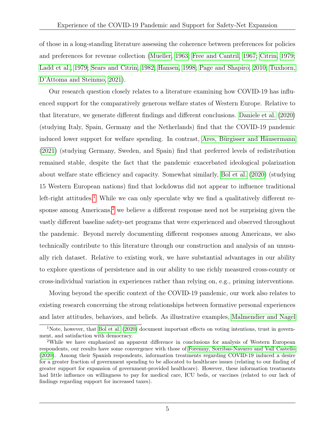of those in a long-standing literature assessing the coherence between preferences for policies and preferences for revenue collection [\(Mueller, 1963;](#page-25-1) [Free and Cantril, 1967;](#page-24-0) [Citrin, 1979;](#page-24-1) [Ladd et al., 1979;](#page-24-2) [Sears and Citrin, 1982;](#page-25-2) [Hansen, 1998;](#page-24-3) [Page and Shapiro, 2010;](#page-25-3) [Tuxhorn,](#page-26-0) [D'Attoma and Steinmo, 2021\)](#page-26-0).

Our research question closely relates to a literature examining how COVID-19 has influenced support for the comparatively generous welfare states of Western Europe. Relative to that literature, we generate different findings and different conclusions. [Daniele et al.](#page-24-4) [\(2020\)](#page-24-4) (studying Italy, Spain, Germany and the Netherlands) find that the COVID-19 pandemic induced lower support for welfare spending. In contrast, [Ares, Bürgisser and Häusermann](#page-23-2) [\(2021\)](#page-23-2) (studying Germany, Sweden, and Spain) find that preferred levels of redistribution remained stable, despite the fact that the pandemic exacerbated ideological polarization about welfare state efficiency and capacity. Somewhat similarly, [Bol et al.](#page-23-3) [\(2020\)](#page-23-3) (studying 15 Western European nations) find that lockdowns did not appear to influence traditional left-right attitudes.<sup>[1](#page-5-0)</sup> While we can only speculate why we find a qualitatively different re-sponse among Americans,<sup>[2](#page-5-1)</sup> we believe a different response need not be surprising given the vastly different baseline safety-net programs that were experienced and observed throughout the pandemic. Beyond merely documenting different responses among Americans, we also technically contribute to this literature through our construction and analysis of an unusually rich dataset. Relative to existing work, we have substantial advantages in our ability to explore questions of persistence and in our ability to use richly measured cross-county or cross-individual variation in experiences rather than relying on, e.g., priming interventions.

Moving beyond the specific context of the COVID-19 pandemic, our work also relates to existing research concerning the strong relationships between formative personal experiences and later attitudes, behaviors, and beliefs. As illustrative examples, [Malmendier and Nagel](#page-25-4)

<span id="page-5-0"></span><sup>1</sup>Note, however, that [Bol et al.](#page-23-3) [\(2020\)](#page-23-3) document important effects on voting intentions, trust in government, and satisfaction with democracy.

<span id="page-5-1"></span><sup>2</sup>While we have emphasized an apparent difference in conclusions for analysis of Western European respondents, our results have some convergence with those of [Foremny, Sorribas-Navarro and Vall Castelló](#page-24-5) [\(2020\)](#page-24-5). Among their Spanish respondents, information treatments regarding COVID-19 induced a desire for a greater fraction of government spending to be allocated to healthcare issues (relating to our finding of greater support for expansion of government-provided healthcare). However, these information treatments had little influence on willingness to pay for medical care, ICU beds, or vaccines (related to our lack of findings regarding support for increased taxes).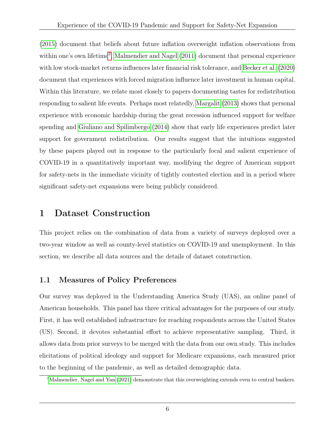[\(2015\)](#page-25-4) document that beliefs about future inflation overweight inflation observations from within one's own lifetime<sup>[3](#page-6-0)</sup>, [Malmendier and Nagel](#page-25-5) [\(2011\)](#page-25-5) document that personal experience with low stock-market returns influences later financial risk tolerance, and [Becker et al.](#page-23-4) [\(2020\)](#page-23-4) document that experiences with forced migration influence later investment in human capital. Within this literature, we relate most closely to papers documenting tastes for redistribution responding to salient life events. Perhaps most relatedly, [Margalit](#page-25-6) [\(2013\)](#page-25-6) shows that personal experience with economic hardship during the great recession influenced support for welfare spending and [Giuliano and Spilimbergo](#page-24-6) [\(2014\)](#page-24-6) show that early life experiences predict later support for government redistribution. Our results suggest that the intuitions suggested by these papers played out in response to the particularly focal and salient experience of COVID-19 in a quantitatively important way, modifying the degree of American support for safety-nets in the immediate vicinity of tightly contested election and in a period where significant safety-net expansions were being publicly considered.

## 1 Dataset Construction

This project relies on the combination of data from a variety of surveys deployed over a two-year window as well as county-level statistics on COVID-19 and unemployment. In this section, we describe all data sources and the details of dataset construction.

### <span id="page-6-1"></span>1.1 Measures of Policy Preferences

Our survey was deployed in the Understanding America Study (UAS), an online panel of American households. This panel has three critical advantages for the purposes of our study. First, it has well established infrastructure for reaching respondents across the United States (US). Second, it devotes substantial effort to achieve representative sampling. Third, it allows data from prior surveys to be merged with the data from our own study. This includes elicitations of political ideology and support for Medicare expansions, each measured prior to the beginning of the pandemic, as well as detailed demographic data.

<span id="page-6-0"></span><sup>3</sup>[Malmendier, Nagel and Yan](#page-25-7) [\(2021\)](#page-25-7) demonstrate that this overweighting extends even to central bankers.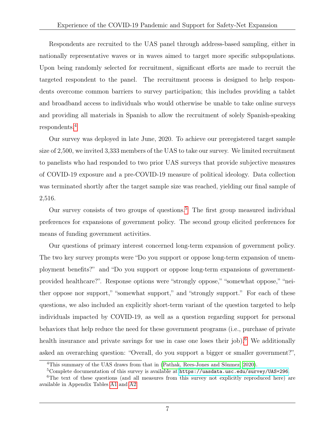Respondents are recruited to the UAS panel through address-based sampling, either in nationally representative waves or in waves aimed to target more specific subpopulations. Upon being randomly selected for recruitment, significant efforts are made to recruit the targeted respondent to the panel. The recruitment process is designed to help respondents overcome common barriers to survey participation; this includes providing a tablet and broadband access to individuals who would otherwise be unable to take online surveys and providing all materials in Spanish to allow the recruitment of solely Spanish-speaking respondents.[4](#page-7-0)

Our survey was deployed in late June, 2020. To achieve our preregistered target sample size of 2,500, we invited 3,333 members of the UAS to take our survey. We limited recruitment to panelists who had responded to two prior UAS surveys that provide subjective measures of COVID-19 exposure and a pre-COVID-19 measure of political ideology. Data collection was terminated shortly after the target sample size was reached, yielding our final sample of 2,516.

Our survey consists of two groups of questions.<sup>[5](#page-7-1)</sup> The first group measured individual preferences for expansions of government policy. The second group elicited preferences for means of funding government activities.

Our questions of primary interest concerned long-term expansion of government policy. The two key survey prompts were "Do you support or oppose long-term expansion of unemployment benefits?" and "Do you support or oppose long-term expansions of governmentprovided healthcare?". Response options were "strongly oppose," "somewhat oppose," "neither oppose nor support," "somewhat support," and "strongly support." For each of these questions, we also included an explicitly short-term variant of the question targeted to help individuals impacted by COVID-19, as well as a question regarding support for personal behaviors that help reduce the need for these government programs (i.e., purchase of private health insurance and private savings for use in case one loses their job).<sup>[6](#page-7-2)</sup> We additionally asked an overarching question: "Overall, do you support a bigger or smaller government?",

<span id="page-7-0"></span><sup>4</sup>This summary of the UAS draws from that in [\(Pathak, Rees-Jones and Sönmez, 2020\)](#page-25-8).

<span id="page-7-2"></span><span id="page-7-1"></span><sup>5</sup>Complete documentation of this survey is available at <https://uasdata.usc.edu/survey/UAS+296>.

<sup>&</sup>lt;sup>6</sup>The text of these questions (and all measures from this survey not explicitly reproduced here) are available in Appendix Tables [A1](#page-38-0) and [A2.](#page-39-0)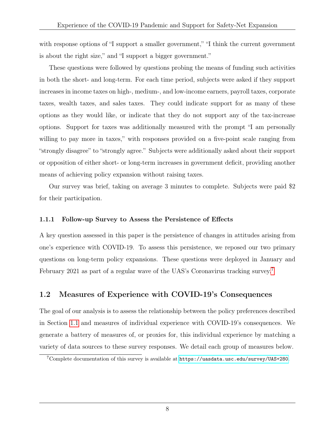with response options of "I support a smaller government," "I think the current government is about the right size," and "I support a bigger government."

These questions were followed by questions probing the means of funding such activities in both the short- and long-term. For each time period, subjects were asked if they support increases in income taxes on high-, medium-, and low-income earners, payroll taxes, corporate taxes, wealth taxes, and sales taxes. They could indicate support for as many of these options as they would like, or indicate that they do not support any of the tax-increase options. Support for taxes was additionally measured with the prompt "I am personally willing to pay more in taxes," with responses provided on a five-point scale ranging from "strongly disagree" to "strongly agree." Subjects were additionally asked about their support or opposition of either short- or long-term increases in government deficit, providing another means of achieving policy expansion without raising taxes.

Our survey was brief, taking on average 3 minutes to complete. Subjects were paid \$2 for their participation.

### 1.1.1 Follow-up Survey to Assess the Persistence of Effects

A key question assessed in this paper is the persistence of changes in attitudes arising from one's experience with COVID-19. To assess this persistence, we reposed our two primary questions on long-term policy expansions. These questions were deployed in January and February 2021 as part of a regular wave of the UAS's Coronavirus tracking survey.[7](#page-8-0)

### 1.2 Measures of Experience with COVID-19's Consequences

The goal of our analysis is to assess the relationship between the policy preferences described in Section [1.1](#page-6-1) and measures of individual experience with COVID-19's consequences. We generate a battery of measures of, or proxies for, this individual experience by matching a variety of data sources to these survey responses. We detail each group of measures below.

<span id="page-8-0"></span> $7$ Complete documentation of this survey is available at  $https://uasdata.usc.edu/survey/UAS+280$ .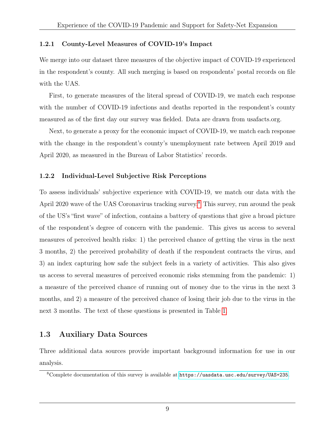#### 1.2.1 County-Level Measures of COVID-19's Impact

We merge into our dataset three measures of the objective impact of COVID-19 experienced in the respondent's county. All such merging is based on respondents' postal records on file with the UAS.

First, to generate measures of the literal spread of COVID-19, we match each response with the number of COVID-19 infections and deaths reported in the respondent's county measured as of the first day our survey was fielded. Data are drawn from usafacts.org.

Next, to generate a proxy for the economic impact of COVID-19, we match each response with the change in the respondent's county's unemployment rate between April 2019 and April 2020, as measured in the Bureau of Labor Statistics' records.

### 1.2.2 Individual-Level Subjective Risk Perceptions

To assess individuals' subjective experience with COVID-19, we match our data with the April 2020 wave of the UAS Coronavirus tracking survey.<sup>[8](#page-9-0)</sup> This survey, run around the peak of the US's "first wave" of infection, contains a battery of questions that give a broad picture of the respondent's degree of concern with the pandemic. This gives us access to several measures of perceived health risks: 1) the perceived chance of getting the virus in the next 3 months, 2) the perceived probability of death if the respondent contracts the virus, and 3) an index capturing how safe the subject feels in a variety of activities. This also gives us access to several measures of perceived economic risks stemming from the pandemic: 1) a measure of the perceived chance of running out of money due to the virus in the next 3 months, and 2) a measure of the perceived chance of losing their job due to the virus in the next 3 months. The text of these questions is presented in Table [1.](#page-28-0)

### 1.3 Auxiliary Data Sources

Three additional data sources provide important background information for use in our analysis.

<span id="page-9-0"></span><sup>8</sup>Complete documentation of this survey is available at <https://uasdata.usc.edu/survey/UAS+235>.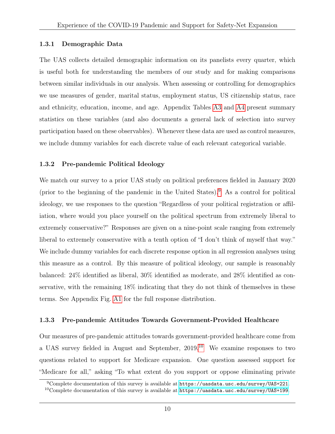### <span id="page-10-3"></span>1.3.1 Demographic Data

The UAS collects detailed demographic information on its panelists every quarter, which is useful both for understanding the members of our study and for making comparisons between similar individuals in our analysis. When assessing or controlling for demographics we use measures of gender, marital status, employment status, US citizenship status, race and ethnicity, education, income, and age. Appendix Tables [A3](#page-40-0) and [A4](#page-41-0) present summary statistics on these variables (and also documents a general lack of selection into survey participation based on these observables). Whenever these data are used as control measures, we include dummy variables for each discrete value of each relevant categorical variable.

### <span id="page-10-2"></span>1.3.2 Pre-pandemic Political Ideology

We match our survey to a prior UAS study on political preferences fielded in January 2020 (prior to the beginning of the pandemic in the United States).[9](#page-10-0) As a control for political ideology, we use responses to the question "Regardless of your political registration or affiliation, where would you place yourself on the political spectrum from extremely liberal to extremely conservative?" Responses are given on a nine-point scale ranging from extremely liberal to extremely conservative with a tenth option of "I don't think of myself that way." We include dummy variables for each discrete response option in all regression analyses using this measure as a control. By this measure of political ideology, our sample is reasonably balanced: 24% identified as liberal, 30% identified as moderate, and 28% identified as conservative, with the remaining 18% indicating that they do not think of themselves in these terms. See Appendix Fig. [A1](#page-36-0) for the full response distribution.

### <span id="page-10-4"></span>1.3.3 Pre-pandemic Attitudes Towards Government-Provided Healthcare

Our measures of pre-pandemic attitudes towards government-provided healthcare come from a UAS survey fielded in August and September, 2019.[10](#page-10-1) We examine responses to two questions related to support for Medicare expansion. One question assessed support for "Medicare for all," asking "To what extent do you support or oppose eliminating private

<span id="page-10-0"></span><sup>9</sup>Complete documentation of this survey is available at <https://uasdata.usc.edu/survey/UAS+221>.

<span id="page-10-1"></span><sup>&</sup>lt;sup>10</sup>Complete documentation of this survey is available at  $\frac{https://uasdata.usc.edu/surve/UAS+199.}$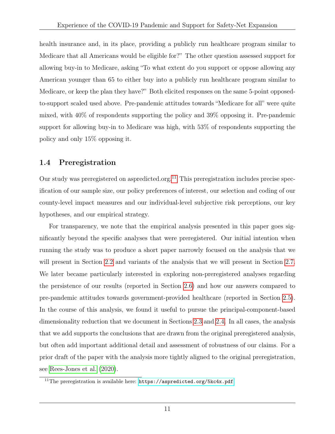health insurance and, in its place, providing a publicly run healthcare program similar to Medicare that all Americans would be eligible for?" The other question assessed support for allowing buy-in to Medicare, asking "To what extent do you support or oppose allowing any American younger than 65 to either buy into a publicly run healthcare program similar to Medicare, or keep the plan they have?" Both elicited responses on the same 5-point opposedto-support scaled used above. Pre-pandemic attitudes towards "Medicare for all" were quite mixed, with 40% of respondents supporting the policy and 39% opposing it. Pre-pandemic support for allowing buy-in to Medicare was high, with 53% of respondents supporting the policy and only 15% opposing it.

### 1.4 Preregistration

Our study was preregistered on aspredicted.org.<sup>[11](#page-11-0)</sup> This preregistration includes precise specification of our sample size, our policy preferences of interest, our selection and coding of our county-level impact measures and our individual-level subjective risk perceptions, our key hypotheses, and our empirical strategy.

For transparency, we note that the empirical analysis presented in this paper goes significantly beyond the specific analyses that were preregistered. Our initial intention when running the study was to produce a short paper narrowly focused on the analysis that we will present in Section [2.2](#page-12-0) and variants of the analysis that we will present in Section [2.7.](#page-21-0) We later became particularly interested in exploring non-preregistered analyses regarding the persistence of our results (reported in Section [2.6\)](#page-19-0) and how our answers compared to pre-pandemic attitudes towards government-provided healthcare (reported in Section [2.5\)](#page-18-0). In the course of this analysis, we found it useful to pursue the principal-component-based dimensionality reduction that we document in Sections [2.3](#page-15-0) and [2.4.](#page-16-0) In all cases, the analysis that we add supports the conclusions that are drawn from the original preregistered analysis, but often add important additional detail and assessment of robustness of our claims. For a prior draft of the paper with the analysis more tightly aligned to the original preregistration, see [Rees-Jones et al.](#page-25-9) [\(2020\)](#page-25-9).

<span id="page-11-0"></span><sup>&</sup>lt;sup>11</sup>The preregistration is available here: <https://aspredicted.org/5kc4x.pdf>.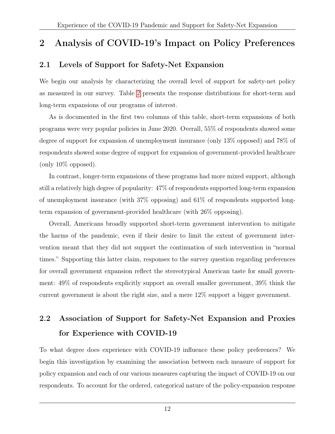# 2 Analysis of COVID-19's Impact on Policy Preferences

### 2.1 Levels of Support for Safety-Net Expansion

We begin our analysis by characterizing the overall level of support for safety-net policy as measured in our survey. Table [2](#page-29-0) presents the response distributions for short-term and long-term expansions of our programs of interest.

As is documented in the first two columns of this table, short-term expansions of both programs were very popular policies in June 2020. Overall, 55% of respondents showed some degree of support for expansion of unemployment insurance (only 13% opposed) and 78% of respondents showed some degree of support for expansion of government-provided healthcare (only 10% opposed).

In contrast, longer-term expansions of these programs had more mixed support, although still a relatively high degree of popularity: 47% of respondents supported long-term expansion of unemployment insurance (with 37% opposing) and 61% of respondents supported longterm expansion of government-provided healthcare (with 26% opposing).

Overall, Americans broadly supported short-term government intervention to mitigate the harms of the pandemic, even if their desire to limit the extent of government intervention meant that they did not support the continuation of such intervention in "normal times." Supporting this latter claim, responses to the survey question regarding preferences for overall government expansion reflect the stereotypical American taste for small government: 49% of respondents explicitly support an overall smaller government, 39% think the current government is about the right size, and a mere 12% support a bigger government.

# <span id="page-12-0"></span>2.2 Association of Support for Safety-Net Expansion and Proxies for Experience with COVID-19

To what degree does experience with COVID-19 influence these policy preferences? We begin this investigation by examining the association between each measure of support for policy expansion and each of our various measures capturing the impact of COVID-19 on our respondents. To account for the ordered, categorical nature of the policy-expansion response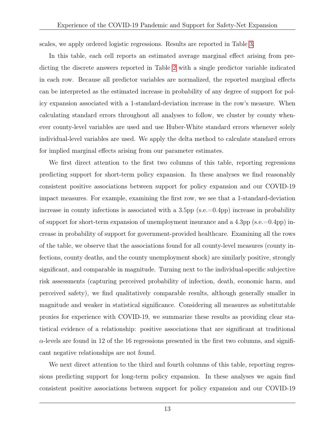scales, we apply ordered logistic regressions. Results are reported in Table [3.](#page-30-0)

In this table, each cell reports an estimated average marginal effect arising from predicting the discrete answers reported in Table [2](#page-29-0) with a single predictor variable indicated in each row. Because all predictor variables are normalized, the reported marginal effects can be interpreted as the estimated increase in probability of any degree of support for policy expansion associated with a 1-standard-deviation increase in the row's measure. When calculating standard errors throughout all analyses to follow, we cluster by county whenever county-level variables are used and use Huber-White standard errors whenever solely individual-level variables are used. We apply the delta method to calculate standard errors for implied marginal effects arising from our parameter estimates.

We first direct attention to the first two columns of this table, reporting regressions predicting support for short-term policy expansion. In these analyses we find reasonably consistent positive associations between support for policy expansion and our COVID-19 impact measures. For example, examining the first row, we see that a 1-standard-deviation increase in county infections is associated with a 3.5pp (s.e.= $0.4$ pp) increase in probability of support for short-term expansion of unemployment insurance and a  $4.3$ pp (s.e.=0.4pp) increase in probability of support for government-provided healthcare. Examining all the rows of the table, we observe that the associations found for all county-level measures (county infections, county deaths, and the county unemployment shock) are similarly positive, strongly significant, and comparable in magnitude. Turning next to the individual-specific subjective risk assessments (capturing perceived probability of infection, death, economic harm, and perceived safety), we find qualitatively comparable results, although generally smaller in magnitude and weaker in statistical significance. Considering all measures as substitutable proxies for experience with COVID-19, we summarize these results as providing clear statistical evidence of a relationship: positive associations that are significant at traditional  $\alpha$ -levels are found in 12 of the 16 regressions presented in the first two columns, and significant negative relationships are not found.

We next direct attention to the third and fourth columns of this table, reporting regressions predicting support for long-term policy expansion. In these analyses we again find consistent positive associations between support for policy expansion and our COVID-19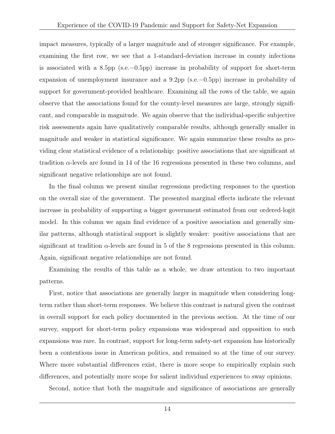impact measures, typically of a larger magnitude and of stronger significance. For example, examining the first row, we see that a 1-standard-deviation increase in county infections is associated with a 8.5pp  $(s.e.=0.5pp)$  increase in probability of support for short-term expansion of unemployment insurance and a 9.2pp (s.e.=0.5pp) increase in probability of support for government-provided healthcare. Examining all the rows of the table, we again observe that the associations found for the county-level measures are large, strongly significant, and comparable in magnitude. We again observe that the individual-specific subjective risk assessments again have qualitatively comparable results, although generally smaller in magnitude and weaker in statistical significance. We again summarize these results as providing clear statistical evidence of a relationship: positive associations that are significant at tradition  $\alpha$ -levels are found in 14 of the 16 regressions presented in these two columns, and significant negative relationships are not found.

In the final column we present similar regressions predicting responses to the question on the overall size of the government. The presented marginal effects indicate the relevant increase in probability of supporting a bigger government estimated from our ordered-logit model. In this column we again find evidence of a positive association and generally similar patterns, although statistical support is slightly weaker: positive associations that are significant at tradition  $\alpha$ -levels are found in 5 of the 8 regressions presented in this column. Again, significant negative relationships are not found.

Examining the results of this table as a whole, we draw attention to two important patterns.

First, notice that associations are generally larger in magnitude when considering longterm rather than short-term responses. We believe this contrast is natural given the contrast in overall support for each policy documented in the previous section. At the time of our survey, support for short-term policy expansions was widespread and opposition to such expansions was rare. In contrast, support for long-term safety-net expansion has historically been a contentious issue in American politics, and remained so at the time of our survey. Where more substantial differences exist, there is more scope to empirically explain such differences, and potentially more scope for salient individual experiences to sway opinions.

Second, notice that both the magnitude and significance of associations are generally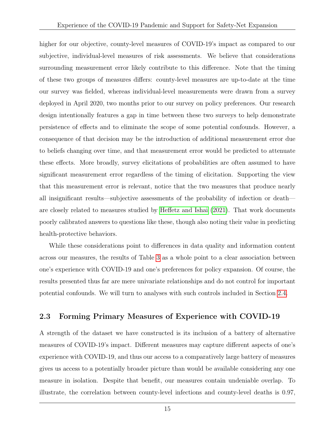higher for our objective, county-level measures of COVID-19's impact as compared to our subjective, individual-level measures of risk assessments. We believe that considerations surrounding measurement error likely contribute to this difference. Note that the timing of these two groups of measures differs: county-level measures are up-to-date at the time our survey was fielded, whereas individual-level measurements were drawn from a survey deployed in April 2020, two months prior to our survey on policy preferences. Our research design intentionally features a gap in time between these two surveys to help demonstrate persistence of effects and to eliminate the scope of some potential confounds. However, a consequence of that decision may be the introduction of additional measurement error due to beliefs changing over time, and that measurement error would be predicted to attenuate these effects. More broadly, survey elicitations of probabilities are often assumed to have significant measurement error regardless of the timing of elicitation. Supporting the view that this measurement error is relevant, notice that the two measures that produce nearly all insignificant results—subjective assessments of the probability of infection or death are closely related to measures studied by [Heffetz and Ishai](#page-24-7) [\(2021\)](#page-24-7). That work documents poorly calibrated answers to questions like these, though also noting their value in predicting health-protective behaviors.

While these considerations point to differences in data quality and information content across our measures, the results of Table [3](#page-30-0) as a whole point to a clear association between one's experience with COVID-19 and one's preferences for policy expansion. Of course, the results presented thus far are mere univariate relationships and do not control for important potential confounds. We will turn to analyses with such controls included in Section [2.4.](#page-16-0)

### <span id="page-15-0"></span>2.3 Forming Primary Measures of Experience with COVID-19

A strength of the dataset we have constructed is its inclusion of a battery of alternative measures of COVID-19's impact. Different measures may capture different aspects of one's experience with COVID-19, and thus our access to a comparatively large battery of measures gives us access to a potentially broader picture than would be available considering any one measure in isolation. Despite that benefit, our measures contain undeniable overlap. To illustrate, the correlation between county-level infections and county-level deaths is 0.97,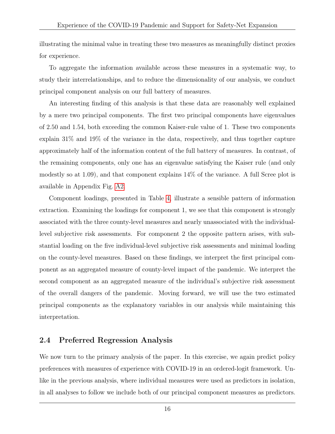illustrating the minimal value in treating these two measures as meaningfully distinct proxies for experience.

To aggregate the information available across these measures in a systematic way, to study their interrelationships, and to reduce the dimensionality of our analysis, we conduct principal component analysis on our full battery of measures.

An interesting finding of this analysis is that these data are reasonably well explained by a mere two principal components. The first two principal components have eigenvalues of 2.50 and 1.54, both exceeding the common Kaiser-rule value of 1. These two components explain 31% and 19% of the variance in the data, respectively, and thus together capture approximately half of the information content of the full battery of measures. In contrast, of the remaining components, only one has an eigenvalue satisfying the Kaiser rule (and only modestly so at 1.09), and that component explains 14% of the variance. A full Scree plot is available in Appendix Fig. [A2.](#page-37-0)

Component loadings, presented in Table [4,](#page-31-0) illustrate a sensible pattern of information extraction. Examining the loadings for component 1, we see that this component is strongly associated with the three county-level measures and nearly unassociated with the individuallevel subjective risk assessments. For component 2 the opposite pattern arises, with substantial loading on the five individual-level subjective risk assessments and minimal loading on the county-level measures. Based on these findings, we interpret the first principal component as an aggregated measure of county-level impact of the pandemic. We interpret the second component as an aggregated measure of the individual's subjective risk assessment of the overall dangers of the pandemic. Moving forward, we will use the two estimated principal components as the explanatory variables in our analysis while maintaining this interpretation.

### <span id="page-16-0"></span>2.4 Preferred Regression Analysis

We now turn to the primary analysis of the paper. In this exercise, we again predict policy preferences with measures of experience with COVID-19 in an ordered-logit framework. Unlike in the previous analysis, where individual measures were used as predictors in isolation, in all analyses to follow we include both of our principal component measures as predictors.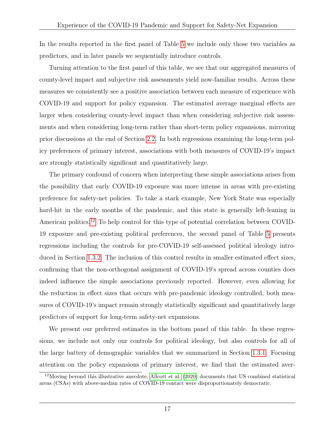In the results reported in the first panel of Table [5](#page-32-0) we include only those two variables as predictors, and in later panels we sequentially introduce controls.

Turning attention to the first panel of this table, we see that our aggregated measures of county-level impact and subjective risk assessments yield now-familiar results. Across these measures we consistently see a positive association between each measure of experience with COVID-19 and support for policy expansion. The estimated average marginal effects are larger when considering county-level impact than when considering subjective risk assessments and when considering long-term rather than short-term policy expansions, mirroring prior discussions at the end of Section [2.2.](#page-12-0) In both regressions examining the long-term policy preferences of primary interest, associations with both measures of COVID-19's impact are strongly statistically significant and quantitatively large.

The primary confound of concern when interpreting these simple associations arises from the possibility that early COVID-19 exposure was more intense in areas with pre-existing preference for safety-net policies. To take a stark example, New York State was especially hard-hit in the early months of the pandemic, and this state is generally left-leaning in American politics.<sup>[12](#page-17-0)</sup> To help control for this type of potential correlation between COVID-19 exposure and pre-existing political preferences, the second panel of Table [5](#page-32-0) presents regressions including the controls for pre-COVID-19 self-assessed political ideology introduced in Section [1.3.2.](#page-10-2) The inclusion of this control results in smaller estimated effect sizes, confirming that the non-orthogonal assignment of COVID-19's spread across counties does indeed influence the simple associations previously reported. However, even allowing for the reduction in effect sizes that occurs with pre-pandemic ideology controlled, both measures of COVID-19's impact remain strongly statistically significant and quantitatively large predictors of support for long-term safety-net expansions.

We present our preferred estimates in the bottom panel of this table. In these regressions, we include not only our controls for political ideology, but also controls for all of the large battery of demographic variables that we summarized in Section [1.3.1.](#page-10-3) Focusing attention on the policy expansions of primary interest, we find that the estimated aver-

<span id="page-17-0"></span><sup>12</sup>Moving beyond this illustrative anecdote, [Allcott et al.](#page-23-5) [\(2020\)](#page-23-5) documents that US combined statistical areas (CSAs) with above-median rates of COVID-19 contact were disproportionately democratic.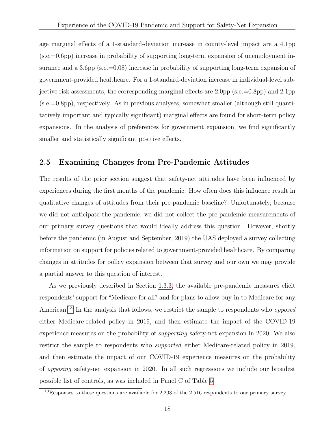age marginal effects of a 1-standard-deviation increase in county-level impact are a 4.1pp (s.e.=0.6pp) increase in probability of supporting long-term expansion of unemployment insurance and a 3.6pp (s.e.=0.08) increase in probability of supporting long-term expansion of government-provided healthcare. For a 1-standard-deviation increase in individual-level subjective risk assessments, the corresponding marginal effects are  $2.0 \text{pp}$  (s.e.=0.8pp) and  $2.1 \text{pp}$ (s.e.=0.8pp), respectively. As in previous analyses, somewhat smaller (although still quantitatively important and typically significant) marginal effects are found for short-term policy expansions. In the analysis of preferences for government expansion, we find significantly smaller and statistically significant positive effects.

### <span id="page-18-0"></span>2.5 Examining Changes from Pre-Pandemic Attitudes

The results of the prior section suggest that safety-net attitudes have been influenced by experiences during the first months of the pandemic. How often does this influence result in qualitative changes of attitudes from their pre-pandemic baseline? Unfortunately, because we did not anticipate the pandemic, we did not collect the pre-pandemic measurements of our primary survey questions that would ideally address this question. However, shortly before the pandemic (in August and September, 2019) the UAS deployed a survey collecting information on support for policies related to government-provided healthcare. By comparing changes in attitudes for policy expansion between that survey and our own we may provide a partial answer to this question of interest.

As we previously described in Section [1.3.3,](#page-10-4) the available pre-pandemic measures elicit respondents' support for "Medicare for all" and for plans to allow buy-in to Medicare for any American.<sup>[13](#page-18-1)</sup> In the analysis that follows, we restrict the sample to respondents who *opposed* either Medicare-related policy in 2019, and then estimate the impact of the COVID-19 experience measures on the probability of supporting safety-net expansion in 2020. We also restrict the sample to respondents who supported either Medicare-related policy in 2019, and then estimate the impact of our COVID-19 experience measures on the probability of opposing safety-net expansion in 2020. In all such regressions we include our broadest possible list of controls, as was included in Panel C of Table [5.](#page-32-0)

<span id="page-18-1"></span><sup>&</sup>lt;sup>13</sup>Responses to these questions are available for 2,203 of the 2,516 respondents to our primary survey.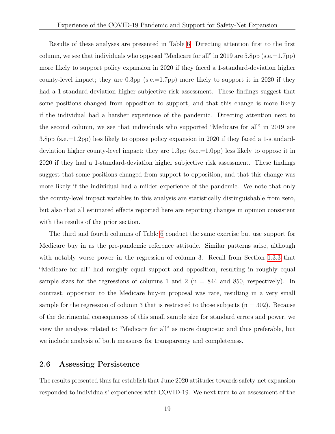Results of these analyses are presented in Table [6.](#page-33-0) Directing attention first to the first column, we see that individuals who opposed "Medicare for all" in 2019 are 5.8pp (s.e.=1.7pp) more likely to support policy expansion in 2020 if they faced a 1-standard-deviation higher county-level impact; they are 0.3pp (s.e.=1.7pp) more likely to support it in 2020 if they had a 1-standard-deviation higher subjective risk assessment. These findings suggest that some positions changed from opposition to support, and that this change is more likely if the individual had a harsher experience of the pandemic. Directing attention next to the second column, we see that individuals who supported "Medicare for all" in 2019 are 3.8pp (s.e.=1.2pp) less likely to oppose policy expansion in 2020 if they faced a 1-standarddeviation higher county-level impact; they are 1.3pp (s.e.=1.0pp) less likely to oppose it in 2020 if they had a 1-standard-deviation higher subjective risk assessment. These findings suggest that some positions changed from support to opposition, and that this change was more likely if the individual had a milder experience of the pandemic. We note that only the county-level impact variables in this analysis are statistically distinguishable from zero, but also that all estimated effects reported here are reporting changes in opinion consistent with the results of the prior section.

The third and fourth columns of Table [6](#page-33-0) conduct the same exercise but use support for Medicare buy in as the pre-pandemic reference attitude. Similar patterns arise, although with notably worse power in the regression of column 3. Recall from Section [1.3.3](#page-10-4) that "Medicare for all" had roughly equal support and opposition, resulting in roughly equal sample sizes for the regressions of columns 1 and 2 ( $n = 844$  and 850, respectively). In contrast, opposition to the Medicare buy-in proposal was rare, resulting in a very small sample for the regression of column 3 that is restricted to those subjects  $(n = 302)$ . Because of the detrimental consequences of this small sample size for standard errors and power, we view the analysis related to "Medicare for all" as more diagnostic and thus preferable, but we include analysis of both measures for transparency and completeness.

### <span id="page-19-0"></span>2.6 Assessing Persistence

The results presented thus far establish that June 2020 attitudes towards safety-net expansion responded to individuals' experiences with COVID-19. We next turn to an assessment of the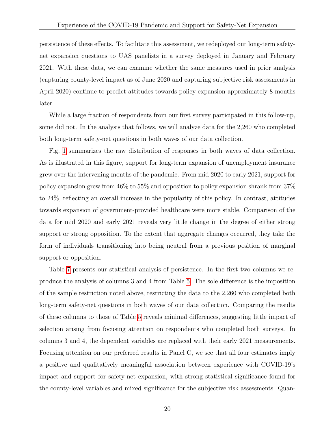persistence of these effects. To facilitate this assessment, we redeployed our long-term safetynet expansion questions to UAS panelists in a survey deployed in January and February 2021. With these data, we can examine whether the same measures used in prior analysis (capturing county-level impact as of June 2020 and capturing subjective risk assessments in April 2020) continue to predict attitudes towards policy expansion approximately 8 months later.

While a large fraction of respondents from our first survey participated in this follow-up, some did not. In the analysis that follows, we will analyze data for the 2,260 who completed both long-term safety-net questions in both waves of our data collection.

Fig. [1](#page-27-0) summarizes the raw distribution of responses in both waves of data collection. As is illustrated in this figure, support for long-term expansion of unemployment insurance grew over the intervening months of the pandemic. From mid 2020 to early 2021, support for policy expansion grew from 46% to 55% and opposition to policy expansion shrank from 37% to 24%, reflecting an overall increase in the popularity of this policy. In contrast, attitudes towards expansion of government-provided healthcare were more stable. Comparison of the data for mid 2020 and early 2021 reveals very little change in the degree of either strong support or strong opposition. To the extent that aggregate changes occurred, they take the form of individuals transitioning into being neutral from a previous position of marginal support or opposition.

Table [7](#page-34-0) presents our statistical analysis of persistence. In the first two columns we reproduce the analysis of columns 3 and 4 from Table [5.](#page-32-0) The sole difference is the imposition of the sample restriction noted above, restricting the data to the 2,260 who completed both long-term safety-net questions in both waves of our data collection. Comparing the results of these columns to those of Table [5](#page-32-0) reveals minimal differences, suggesting little impact of selection arising from focusing attention on respondents who completed both surveys. In columns 3 and 4, the dependent variables are replaced with their early 2021 measurements. Focusing attention on our preferred results in Panel C, we see that all four estimates imply a positive and qualitatively meaningful association between experience with COVID-19's impact and support for safety-net expansion, with strong statistical significance found for the county-level variables and mixed significance for the subjective risk assessments. Quan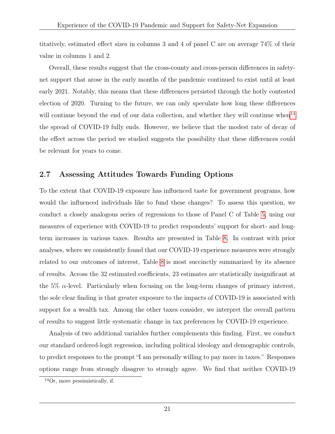titatively, estimated effect sizes in columns 3 and 4 of panel C are on average 74% of their value in columns 1 and 2.

Overall, these results suggest that the cross-county and cross-person differences in safetynet support that arose in the early months of the pandemic continued to exist until at least early 2021. Notably, this means that these differences persisted through the hotly contested election of 2020. Turning to the future, we can only speculate how long these differences will continue beyond the end of our data collection, and whether they will continue when<sup>[14](#page-21-1)</sup> the spread of COVID-19 fully ends. However, we believe that the modest rate of decay of the effect across the period we studied suggests the possibility that these differences could be relevant for years to come.

### <span id="page-21-0"></span>2.7 Assessing Attitudes Towards Funding Options

To the extent that COVID-19 exposure has influenced taste for government programs, how would the influenced individuals like to fund these changes? To assess this question, we conduct a closely analogous series of regressions to those of Panel C of Table [5,](#page-32-0) using our measures of experience with COVID-19 to predict respondents' support for short- and longterm increases in various taxes. Results are presented in Table [8.](#page-35-0) In contrast with prior analyses, where we consistently found that our COVID-19 experience measures were strongly related to our outcomes of interest, Table [8](#page-35-0) is most succinctly summarized by its absence of results. Across the 32 estimated coefficients, 23 estimates are statistically insignificant at the  $5\%$   $\alpha$ -level. Particularly when focusing on the long-term changes of primary interest, the sole clear finding is that greater exposure to the impacts of COVID-19 is associated with support for a wealth tax. Among the other taxes consider, we interpret the overall pattern of results to suggest little systematic change in tax preferences by COVID-19 experience.

Analysis of two additional variables further complements this finding. First, we conduct our standard ordered-logit regression, including political ideology and demographic controls, to predict responses to the prompt "I am personally willing to pay more in taxes." Responses options range from strongly disagree to strongly agree. We find that neither COVID-19

<span id="page-21-1"></span> $^{14}$ Or, more pessimistically, if.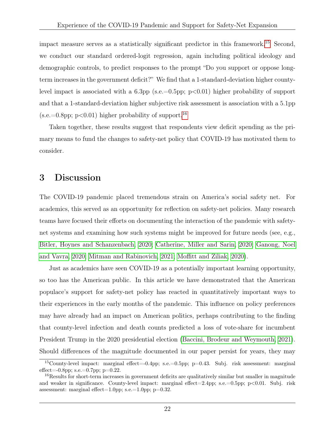impact measure serves as a statistically significant predictor in this framework.[15](#page-22-0) Second, we conduct our standard ordered-logit regression, again including political ideology and demographic controls, to predict responses to the prompt "Do you support or oppose longterm increases in the government deficit?" We find that a 1-standard-deviation higher countylevel impact is associated with a  $6.3$ pp (s.e.=0.5pp; p<0.01) higher probability of support and that a 1-standard-deviation higher subjective risk assessment is association with a 5.1pp  $(s.e.=0.8\text{pp}; p<0.01)$  higher probability of support.<sup>[16](#page-22-1)</sup>

Taken together, these results suggest that respondents view deficit spending as the primary means to fund the changes to safety-net policy that COVID-19 has motivated them to consider.

### 3 Discussion

The COVID-19 pandemic placed tremendous strain on America's social safety net. For academics, this served as an opportunity for reflection on safety-net policies. Many research teams have focused their efforts on documenting the interaction of the pandemic with safetynet systems and examining how such systems might be improved for future needs (see, e.g., [Bitler, Hoynes and Schanzenbach, 2020;](#page-23-0) [Catherine, Miller and Sarin, 2020;](#page-24-8) [Ganong, Noel](#page-24-9) [and Vavra, 2020;](#page-24-9) [Mitman and Rabinovich, 2021;](#page-25-10) [Moffitt and Ziliak, 2020\)](#page-25-0).

Just as academics have seen COVID-19 as a potentially important learning opportunity, so too has the American public. In this article we have demonstrated that the American populace's support for safety-net policy has reacted in quantitatively important ways to their experiences in the early months of the pandemic. This influence on policy preferences may have already had an impact on American politics, perhaps contributing to the finding that county-level infection and death counts predicted a loss of vote-share for incumbent President Trump in the 2020 presidential election [\(Baccini, Brodeur and Weymouth, 2021\)](#page-23-6). Should differences of the magnitude documented in our paper persist for years, they may

<span id="page-22-0"></span><sup>15</sup>County-level impact: marginal effect=-0.4pp; s.e.=0.5pp; p=0.43. Subj. risk assessment: marginal effect= $-0.8$ pp; s.e.= $0.7$ pp; p= $0.22$ .

<span id="page-22-1"></span><sup>&</sup>lt;sup>16</sup>Results for short-term increases in government deficits are qualitatively similar but smaller in magnitude and weaker in significance. County-level impact: marginal effect=2.4pp; s.e.=0.5pp;  $p < 0.01$ . Subj. risk assessment: marginal effect=1.0pp; s.e.=1.0pp;  $p=0.32$ .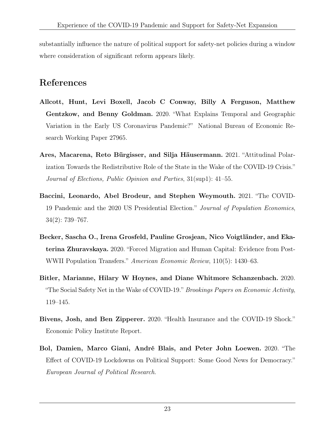substantially influence the nature of political support for safety-net policies during a window where consideration of significant reform appears likely.

# References

- <span id="page-23-5"></span>Allcott, Hunt, Levi Boxell, Jacob C Conway, Billy A Ferguson, Matthew Gentzkow, and Benny Goldman. 2020. "What Explains Temporal and Geographic Variation in the Early US Coronavirus Pandemic?" National Bureau of Economic Research Working Paper 27965.
- <span id="page-23-2"></span>Ares, Macarena, Reto Bürgisser, and Silja Häusermann. 2021. "Attitudinal Polarization Towards the Redistributive Role of the State in the Wake of the COVID-19 Crisis." Journal of Elections, Public Opinion and Parties, 31(sup1): 41–55.
- <span id="page-23-6"></span>Baccini, Leonardo, Abel Brodeur, and Stephen Weymouth. 2021. "The COVID-19 Pandemic and the 2020 US Presidential Election." Journal of Population Economics, 34(2): 739–767.
- <span id="page-23-4"></span>Becker, Sascha O., Irena Grosfeld, Pauline Grosjean, Nico Voigtländer, and Ekaterina Zhuravskaya. 2020. "Forced Migration and Human Capital: Evidence from Post-WWII Population Transfers." American Economic Review, 110(5): 1430–63.
- <span id="page-23-0"></span>Bitler, Marianne, Hilary W Hoynes, and Diane Whitmore Schanzenbach. 2020. "The Social Safety Net in the Wake of COVID-19." Brookings Papers on Economic Activity, 119–145.
- <span id="page-23-1"></span>Bivens, Josh, and Ben Zipperer. 2020. "Health Insurance and the COVID-19 Shock." Economic Policy Institute Report.
- <span id="page-23-3"></span>Bol, Damien, Marco Giani, André Blais, and Peter John Loewen. 2020. "The Effect of COVID-19 Lockdowns on Political Support: Some Good News for Democracy." European Journal of Political Research.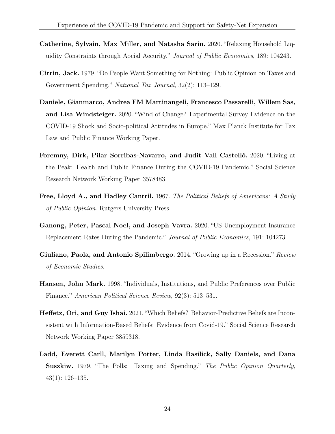- <span id="page-24-8"></span>Catherine, Sylvain, Max Miller, and Natasha Sarin. 2020. "Relaxing Household Liquidity Constraints through Aocial Aecurity." Journal of Public Economics, 189: 104243.
- <span id="page-24-1"></span>Citrin, Jack. 1979. "Do People Want Something for Nothing: Public Opinion on Taxes and Government Spending." National Tax Journal, 32(2): 113–129.
- <span id="page-24-4"></span>Daniele, Gianmarco, Andrea FM Martinangeli, Francesco Passarelli, Willem Sas, and Lisa Windsteiger. 2020. "Wind of Change? Experimental Survey Evidence on the COVID-19 Shock and Socio-political Attitudes in Europe." Max Planck Institute for Tax Law and Public Finance Working Paper.
- <span id="page-24-5"></span>Foremny, Dirk, Pilar Sorribas-Navarro, and Judit Vall Castelló. 2020. "Living at the Peak: Health and Public Finance During the COVID-19 Pandemic." Social Science Research Network Working Paper 3578483.
- <span id="page-24-0"></span>Free, Lloyd A., and Hadley Cantril. 1967. The Political Beliefs of Americans: A Study of Public Opinion. Rutgers University Press.
- <span id="page-24-9"></span>Ganong, Peter, Pascal Noel, and Joseph Vavra. 2020. "US Unemployment Insurance Replacement Rates During the Pandemic." Journal of Public Economics, 191: 104273.
- <span id="page-24-6"></span>Giuliano, Paola, and Antonio Spilimbergo. 2014. "Growing up in a Recession." Review of Economic Studies.
- <span id="page-24-3"></span>Hansen, John Mark. 1998. "Individuals, Institutions, and Public Preferences over Public Finance." American Political Science Review, 92(3): 513–531.
- <span id="page-24-7"></span>Heffetz, Ori, and Guy Ishai. 2021. "Which Beliefs? Behavior-Predictive Beliefs are Inconsistent with Information-Based Beliefs: Evidence from Covid-19." Social Science Research Network Working Paper 3859318.
- <span id="page-24-2"></span>Ladd, Everett Carll, Marilyn Potter, Linda Basilick, Sally Daniels, and Dana Suszkiw. 1979. "The Polls: Taxing and Spending." The Public Opinion Quarterly, 43(1): 126–135.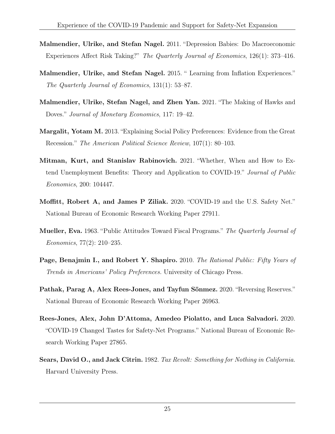- <span id="page-25-5"></span>Malmendier, Ulrike, and Stefan Nagel. 2011. "Depression Babies: Do Macroeconomic Experiences Affect Risk Taking?" The Quarterly Journal of Economics, 126(1): 373–416.
- <span id="page-25-4"></span>Malmendier, Ulrike, and Stefan Nagel. 2015. " Learning from Inflation Experiences." The Quarterly Journal of Economics, 131(1): 53–87.
- <span id="page-25-7"></span>Malmendier, Ulrike, Stefan Nagel, and Zhen Yan. 2021. "The Making of Hawks and Doves." Journal of Monetary Economics, 117: 19–42.
- <span id="page-25-6"></span>Margalit, Yotam M. 2013. "Explaining Social Policy Preferences: Evidence from the Great Recession." The American Political Science Review, 107(1): 80–103.
- <span id="page-25-10"></span>Mitman, Kurt, and Stanislav Rabinovich. 2021. "Whether, When and How to Extend Unemployment Benefits: Theory and Application to COVID-19." Journal of Public Economics, 200: 104447.
- <span id="page-25-0"></span>Moffitt, Robert A, and James P Ziliak. 2020. "COVID-19 and the U.S. Safety Net." National Bureau of Economic Research Working Paper 27911.
- <span id="page-25-1"></span>Mueller, Eva. 1963. "Public Attitudes Toward Fiscal Programs." The Quarterly Journal of Economics, 77(2): 210–235.
- <span id="page-25-3"></span>Page, Benajmin I., and Robert Y. Shapiro. 2010. The Rational Public: Fifty Years of Trends in Americans' Policy Preferences. University of Chicago Press.
- <span id="page-25-8"></span>Pathak, Parag A, Alex Rees-Jones, and Tayfun Sönmez. 2020. "Reversing Reserves." National Bureau of Economic Research Working Paper 26963.
- <span id="page-25-9"></span>Rees-Jones, Alex, John D'Attoma, Amedeo Piolatto, and Luca Salvadori. 2020. "COVID-19 Changed Tastes for Safety-Net Programs." National Bureau of Economic Research Working Paper 27865.
- <span id="page-25-2"></span>Sears, David O., and Jack Citrin. 1982. Tax Revolt: Something for Nothing in California. Harvard University Press.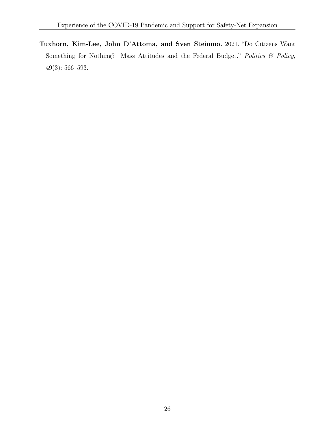<span id="page-26-0"></span>Tuxhorn, Kim-Lee, John D'Attoma, and Sven Steinmo. 2021. "Do Citizens Want Something for Nothing? Mass Attitudes and the Federal Budget." Politics & Policy, 49(3): 566–593.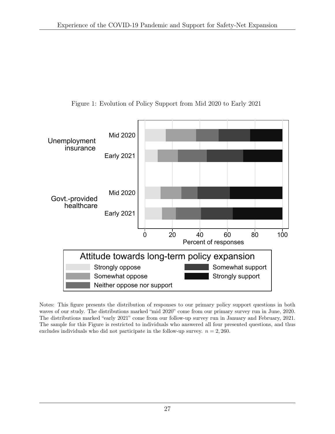<span id="page-27-0"></span>

Figure 1: Evolution of Policy Support from Mid 2020 to Early 2021

Notes: This figure presents the distribution of responses to our primary policy support questions in both waves of our study. The distributions marked "mid 2020" come from our primary survey run in June, 2020. The distributions marked "early 2021" come from our follow-up survey run in January and February, 2021. The sample for this Figure is restricted to individuals who answered all four presented questions, and thus excludes individuals who did not participate in the follow-up survey.  $n = 2,260$ .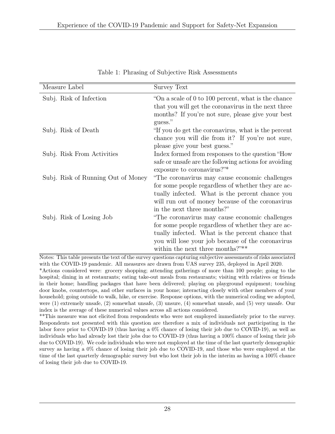<span id="page-28-0"></span>

| Measure Label                      | <b>Survey Text</b>                                                                                                                                                                                                                                |
|------------------------------------|---------------------------------------------------------------------------------------------------------------------------------------------------------------------------------------------------------------------------------------------------|
| Subj. Risk of Infection            | "On a scale of 0 to 100 percent, what is the chance"<br>that you will get the coronavirus in the next three<br>months? If you're not sure, please give your best<br>guess."                                                                       |
| Subj. Risk of Death                | "If you do get the coronavirus, what is the percent<br>chance you will die from it? If you're not sure,<br>please give your best guess."                                                                                                          |
| Subj. Risk From Activities         | Index formed from responses to the question "How"<br>safe or unsafe are the following actions for avoiding<br>exposure to coronavirus?"*                                                                                                          |
| Subj. Risk of Running Out of Money | "The coronavirus may cause economic challenges"<br>for some people regardless of whether they are ac-<br>tually infected. What is the percent chance you<br>will run out of money because of the coronavirus<br>in the next three months?"        |
| Subj. Risk of Losing Job           | "The coronavirus may cause economic challenges<br>for some people regardless of whether they are ac-<br>tually infected. What is the percent chance that<br>you will lose your job because of the coronavirus<br>within the next three months?"** |

Table 1: Phrasing of Subjective Risk Assessments

Notes: This table presents the text of the survey questions capturing subjective assessments of risks associated with the COVID-19 pandemic. All measures are drawn from UAS survey 235, deployed in April 2020. \*Actions considered were: grocery shopping; attending gatherings of more than 100 people; going to the hospital; dining in at restaurants; eating take-out meals from restaurants; visiting with relatives or friends in their home; handling packages that have been delivered; playing on playground equipment; touching door knobs, countertops, and other surfaces in your home; interacting closely with other members of your household; going outside to walk, hike, or exercise. Response options, with the numerical coding we adopted, were (1) extremely unsafe, (2) somewhat unsafe, (3) unsure, (4) somewhat unsafe, and (5) very unsafe. Our index is the average of these numerical values across all actions considered.

\*\*This measure was not elicited from respondents who were not employed immediately prior to the survey. Respondents not presented with this question are therefore a mix of individuals not participating in the labor force prior to COVID-19 (thus having a 0% chance of losing their job due to COVID-19), as well as individuals who had already lost their jobs due to COVID-19 (thus having a 100% chance of losing their job due to COVID-19). We code individuals who were not employed at the time of the last quarterly demographic survey as having a 0% chance of losing their job due to COVID-19, and those who were employed at the time of the last quarterly demographic survey but who lost their job in the interim as having a 100% chance of losing their job due to COVID-19.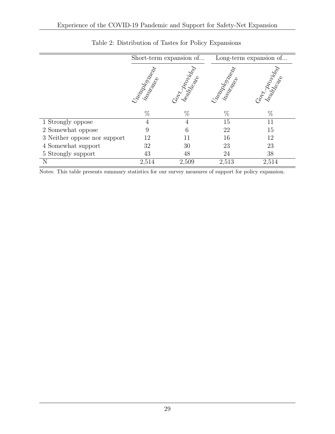<span id="page-29-0"></span>

|                              |                  | Short-term expansion of |                   | Long-term expansion of |
|------------------------------|------------------|-------------------------|-------------------|------------------------|
|                              | Treepportal Read | Gontz Dropingo          | Uneapolista da Ca | Gort Atomical          |
|                              | $\%$             | %                       | $\%$              | $\%$                   |
| 1 Strongly oppose            | 4                | $\overline{4}$          | 15                | 11                     |
| 2 Somewhat oppose            | 9                | 6                       | 22                | 15                     |
| 3 Neither oppose nor support | 12               |                         | 16                | 12                     |
| 4 Somewhat support           | 32               | 30                      | 23                | 23                     |
| 5 Strongly support           | 43               | 48                      | 24                | 38                     |
|                              | 2,514            | 2,509                   | 2,513             | 2,514                  |

### Table 2: Distribution of Tastes for Policy Expansions

Notes: This table presents summary statistics for our survey measures of support for policy expansion.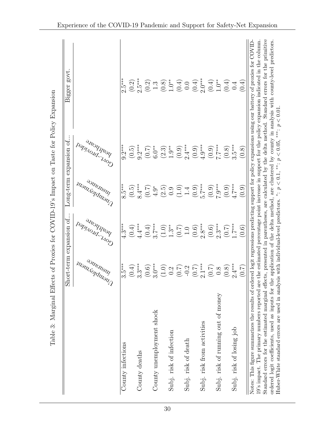<span id="page-30-0"></span>

|                                                                                                                                                                                                                                                                                                                                                                                                                                                                                                                                                                                                                                                              |                                                                                                                                                                                                                                                                                                              | Short-term expansion of                                                                                        |                                                                       | Long-term expansion of.                               | govt.<br>Bigger                                                                                                                                                                                                                 |
|--------------------------------------------------------------------------------------------------------------------------------------------------------------------------------------------------------------------------------------------------------------------------------------------------------------------------------------------------------------------------------------------------------------------------------------------------------------------------------------------------------------------------------------------------------------------------------------------------------------------------------------------------------------|--------------------------------------------------------------------------------------------------------------------------------------------------------------------------------------------------------------------------------------------------------------------------------------------------------------|----------------------------------------------------------------------------------------------------------------|-----------------------------------------------------------------------|-------------------------------------------------------|---------------------------------------------------------------------------------------------------------------------------------------------------------------------------------------------------------------------------------|
|                                                                                                                                                                                                                                                                                                                                                                                                                                                                                                                                                                                                                                                              | insurance<br><b>Watt Additional Production</b>                                                                                                                                                                                                                                                               | Nealthcare<br>Paptidorida                                                                                      | instruction<br><b>Want Addutor 1</b>                                  | Nealthcare<br>Paptidord Hop                           |                                                                                                                                                                                                                                 |
| County infections                                                                                                                                                                                                                                                                                                                                                                                                                                                                                                                                                                                                                                            | $3.5***$                                                                                                                                                                                                                                                                                                     | $4.3***$                                                                                                       | $8.5***$                                                              | $9.2***$                                              | $2.5***$                                                                                                                                                                                                                        |
|                                                                                                                                                                                                                                                                                                                                                                                                                                                                                                                                                                                                                                                              |                                                                                                                                                                                                                                                                                                              |                                                                                                                |                                                                       |                                                       |                                                                                                                                                                                                                                 |
| County deaths                                                                                                                                                                                                                                                                                                                                                                                                                                                                                                                                                                                                                                                | $(0.4)$<br>3.3***                                                                                                                                                                                                                                                                                            | $(0.4)$<br>4.4 ***                                                                                             | $(0.5)$<br>8.4 ***                                                    | $(0.5)$<br>9.2***                                     | $(0.2)$<br>2.5***                                                                                                                                                                                                               |
|                                                                                                                                                                                                                                                                                                                                                                                                                                                                                                                                                                                                                                                              |                                                                                                                                                                                                                                                                                                              |                                                                                                                | $(0.7)$<br>4.9*                                                       |                                                       |                                                                                                                                                                                                                                 |
| County unemployment shock                                                                                                                                                                                                                                                                                                                                                                                                                                                                                                                                                                                                                                    | $\begin{array}{c} (0.6)\\ 0.6\\ 3.0\\ 2.0\\ (1.0)\\ (1.0)\\ (0.7)\\ (1.0)\\ (0.7)\\ (0.8)\\ (0.8)\\ (0.8)\\ (0.8)\\ (0.8)\\ (0.8)\\ (0.8)\\ (0.8)\\ (0.8)\\ (0.8)\\ (0.8)\\ (0.8)\\ (0.8)\\ (0.8)\\ (0.8)\\ (0.8)\\ (0.8)\\ (0.8)\\ (0.8)\\ (0.8)\\ (0.8)\\ (0.8)\\ (0.8)\\ (0.8)\\ (0.8)\\ (0.8)\\ (0.8)\\$ | $\begin{array}{c} (0.4) \\ 2.7^{***} \\ (1.0) \\ 1.3^{**} \\ (0.7) \\ (0.6) \\ (0.6) \\ 2.8^{***} \end{array}$ |                                                                       | $(0.7)$ $(5.0^{**}$                                   | $\underbrace{(0,2)}_{-1,0} \underbrace{(0,0,0)}_{-1,0} \underbrace{(0,0,0)}_{-1,0} \underbrace{(0,0,0)}_{-1,0} \underbrace{(0,0,0)}_{-1,0} \underbrace{(0,0,0)}_{-1,0} \underbrace{(0,0,0)}_{-1,0} \underbrace{(0,0,0)}_{-1,0}$ |
|                                                                                                                                                                                                                                                                                                                                                                                                                                                                                                                                                                                                                                                              |                                                                                                                                                                                                                                                                                                              |                                                                                                                |                                                                       | $(2.3)$ $1.9**$                                       |                                                                                                                                                                                                                                 |
| Subj. risk of infection                                                                                                                                                                                                                                                                                                                                                                                                                                                                                                                                                                                                                                      |                                                                                                                                                                                                                                                                                                              |                                                                                                                | $\begin{array}{c} (2.5) \\ 0.9 \\ 1.4 \\ (0.4) \\ 0.5 \\ \end{array}$ |                                                       |                                                                                                                                                                                                                                 |
|                                                                                                                                                                                                                                                                                                                                                                                                                                                                                                                                                                                                                                                              |                                                                                                                                                                                                                                                                                                              |                                                                                                                |                                                                       |                                                       |                                                                                                                                                                                                                                 |
| Subj. risk of death                                                                                                                                                                                                                                                                                                                                                                                                                                                                                                                                                                                                                                          |                                                                                                                                                                                                                                                                                                              |                                                                                                                |                                                                       |                                                       |                                                                                                                                                                                                                                 |
|                                                                                                                                                                                                                                                                                                                                                                                                                                                                                                                                                                                                                                                              |                                                                                                                                                                                                                                                                                                              |                                                                                                                |                                                                       | $(0.9)$<br>$2.4***$<br>$(0.9)$<br>$(0.9)$<br>$4.9***$ |                                                                                                                                                                                                                                 |
| Subj. risk from activities                                                                                                                                                                                                                                                                                                                                                                                                                                                                                                                                                                                                                                   |                                                                                                                                                                                                                                                                                                              |                                                                                                                |                                                                       |                                                       |                                                                                                                                                                                                                                 |
|                                                                                                                                                                                                                                                                                                                                                                                                                                                                                                                                                                                                                                                              |                                                                                                                                                                                                                                                                                                              | $(0.6)$<br>2.3***                                                                                              | $(0.9)$<br>$(6.0)$                                                    | $(0.9)$<br>(0.9)                                      |                                                                                                                                                                                                                                 |
| Subj. risk of running out of money                                                                                                                                                                                                                                                                                                                                                                                                                                                                                                                                                                                                                           |                                                                                                                                                                                                                                                                                                              |                                                                                                                |                                                                       |                                                       |                                                                                                                                                                                                                                 |
|                                                                                                                                                                                                                                                                                                                                                                                                                                                                                                                                                                                                                                                              | $(0.8)$                                                                                                                                                                                                                                                                                                      | $(0.7)$<br>1.7***                                                                                              | $(0.9)$<br>4.7***                                                     | $(0.8)$<br>3.5***                                     |                                                                                                                                                                                                                                 |
| Subj. risk of losing job                                                                                                                                                                                                                                                                                                                                                                                                                                                                                                                                                                                                                                     | $2.4***$                                                                                                                                                                                                                                                                                                     |                                                                                                                |                                                                       |                                                       |                                                                                                                                                                                                                                 |
|                                                                                                                                                                                                                                                                                                                                                                                                                                                                                                                                                                                                                                                              | (7.0)                                                                                                                                                                                                                                                                                                        | (0.6)                                                                                                          | (0.9)                                                                 | (0.8)                                                 |                                                                                                                                                                                                                                 |
| Standard errors for the estimated marginal effects, presented in parentheses, are calculated by the delta method. Standard errors for the primitive<br>Notes: This figure summarizes the results of ordered logit regressions predicting support for policy expansions using our battery of proxies for COVID-<br>19's impact. The primary numbers reported are the estimated percentage point increase in support for the policy expansion indicated in the column.<br>Huber-White standard errors are used in analysis with individual-level predictors. *: $p < 0.1$ , **: $p < 0.05$ , ***. $p < 0.01$<br>ordered logit coefficients, used as inputs for |                                                                                                                                                                                                                                                                                                              |                                                                                                                |                                                                       |                                                       | the application of the delta method, are clustered by county in analysis with county-level predictors.                                                                                                                          |

30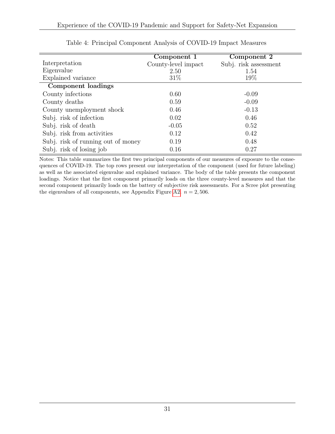<span id="page-31-0"></span>

|                                    | Component 1         | Component 2           |
|------------------------------------|---------------------|-----------------------|
| Interpretation                     | County-level impact | Subj. risk assessment |
| Eigenvalue                         | 2.50                | 1.54                  |
| Explained variance                 | $31\%$              | 19%                   |
| Component loadings                 |                     |                       |
| County infections                  | 0.60                | $-0.09$               |
| County deaths                      | 0.59                | $-0.09$               |
| County unemployment shock          | 0.46                | $-0.13$               |
| Subj. risk of infection            | 0.02                | 0.46                  |
| Subj. risk of death                | $-0.05$             | 0.52                  |
| Subj. risk from activities         | 0.12                | 0.42                  |
| Subj. risk of running out of money | 0.19                | 0.48                  |
| Subj. risk of losing job           | 0.16                | 0.27                  |

| Table 4: Principal Component Analysis of COVID-19 Impact Measures |  |  |  |  |
|-------------------------------------------------------------------|--|--|--|--|
|-------------------------------------------------------------------|--|--|--|--|

Notes: This table summarizes the first two principal components of our measures of exposure to the consequences of COVID-19. The top rows present our interpretation of the component (used for future labeling) as well as the associated eigenvalue and explained variance. The body of the table presents the component loadings. Notice that the first component primarily loads on the three county-level measures and that the second component primarily loads on the battery of subjective risk assessments. For a Scree plot presenting the eigenvalues of all components, see Appendix Figure [A2.](#page-37-0)  $n = 2,506$ .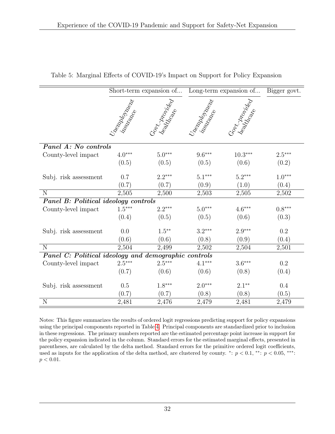|                                                      |                      | Short-term expansion of |                            | Long-term expansion of | Bigger govt. |
|------------------------------------------------------|----------------------|-------------------------|----------------------------|------------------------|--------------|
|                                                      | Uneapologues I       | Gort Montego            | Uneapological Registration | Gort Montego           |              |
| Panel A: No controls                                 |                      |                         |                            |                        |              |
| County-level impact                                  | $4.0^{\ast\ast\ast}$ | $5.0***$                | $9.6***$                   | $10.3***$              | $2.5***$     |
|                                                      | (0.5)                | (0.5)                   | (0.5)                      | (0.6)                  | (0.2)        |
| Subj. risk assessment                                | 0.7                  | $2.2***$                | $5.1***$                   | $5.2***$               | $1.0***$     |
|                                                      | (0.7)                | (0.7)                   | (0.9)                      | (1.0)                  | (0.4)        |
| N                                                    | 2,505                | 2,500                   | 2,503                      | 2,505                  | 2,502        |
| Panel B: Political ideology controls                 |                      |                         |                            |                        |              |
| County-level impact                                  | $1.5***$             | $2.2***$                | $5.0***$                   | $4.6***$               | $0.8***$     |
|                                                      | (0.4)                | (0.5)                   | (0.5)                      | (0.6)                  | (0.3)        |
| Subj. risk assessment                                | 0.0                  | $1.5***$                | $3.2***$                   | $2.9***$               | $\rm 0.2$    |
|                                                      | (0.6)                | (0.6)                   | (0.8)                      | (0.9)                  | (0.4)        |
| $\overline{N}$                                       | 2,504                | 2,499                   | 2,502                      | 2,504                  | 2,501        |
| Panel C: Political ideology and demographic controls |                      |                         |                            |                        |              |
| County-level impact                                  | $2.5***$             | $2.5***$                | $4.1***$                   | $3.6***$               | 0.2          |
|                                                      | (0.7)                | (0.6)                   | (0.6)                      | (0.8)                  | (0.4)        |
| Subj. risk assessment                                | 0.5                  | $1.8***$                | $2.0***$                   | $2.1***$               | 0.4          |
|                                                      | (0.7)                | (0.7)                   | (0.8)                      | (0.8)                  | (0.5)        |
| N                                                    | 2,481                | 2,476                   | 2,479                      | 2,481                  | 2,479        |

<span id="page-32-0"></span>Table 5: Marginal Effects of COVID-19's Impact on Support for Policy Expansion

Notes: This figure summarizes the results of ordered logit regressions predicting support for policy expansions using the principal components reported in Table [4.](#page-31-0) Principal components are standardized prior to inclusion in these regressions. The primary numbers reported are the estimated percentage point increase in support for the policy expansion indicated in the column. Standard errors for the estimated marginal effects, presented in parentheses, are calculated by the delta method. Standard errors for the primitive ordered logit coefficients, used as inputs for the application of the delta method, are clustered by county. \*:  $p < 0.1$ , \*\*:  $p < 0.05$ , \*\*\*:  $p < 0.01$ .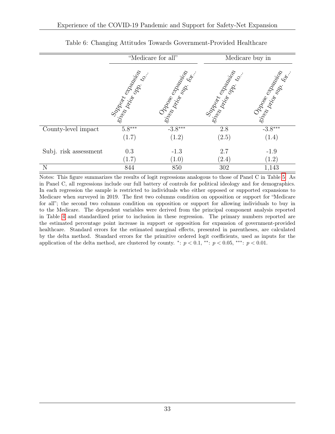<span id="page-33-0"></span>

|                       | "Medicare for all" |                     | Medicare buy in     |                     |
|-----------------------|--------------------|---------------------|---------------------|---------------------|
|                       | Sirpport Stranger  | Sir Donge expansion | Siraparte Spanish   | Sir Donge expansion |
| County-level impact   | $5.8***$           | $-3.8***$           | 2.8                 | $-3.8***$           |
|                       | (1.7)              | (1.2)               | (2.5)               | (1.4)               |
| Subj. risk assessment | 0.3                | $-1.3$              | 2.7                 | $-1.9$              |
|                       | (1.7)              | (1.0)               | $\left( 2.4\right)$ | (1.2)               |
| N                     | 844                | 850                 | 302                 | 1,143               |

Table 6: Changing Attitudes Towards Government-Provided Healthcare

Notes: This figure summarizes the results of logit regressions analogous to those of Panel C in Table [5.](#page-32-0) As in Panel C, all regressions include our full battery of controls for political ideology and for demographics. In each regression the sample is restricted to individuals who either opposed or supported expansions to Medicare when surveyed in 2019. The first two columns condition on opposition or support for "Medicare for all"; the second two columns condition on opposition or support for allowing individuals to buy in to the Medicare. The dependent variables were derived from the principal component analysis reported in Table [4](#page-31-0) and standardized prior to inclusion in these regression. The primary numbers reported are the estimated percentage point increase in support or opposition for expansion of government-provided healthcare. Standard errors for the estimated marginal effects, presented in parentheses, are calculated by the delta method. Standard errors for the primitive ordered logit coefficients, used as inputs for the application of the delta method, are clustered by county. \*:  $p < 0.1$ , \*\*:  $p < 0.05$ , \*\*\*:  $p < 0.01$ .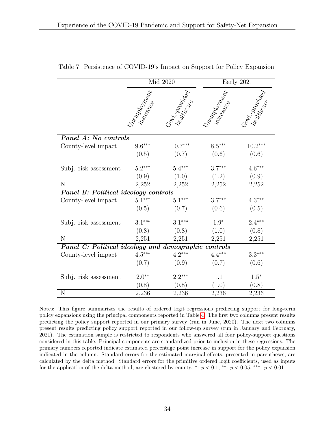|                                                      |                   | Mid 2020        |                   | Early 2021   |
|------------------------------------------------------|-------------------|-----------------|-------------------|--------------|
|                                                      | Uneaple of Maples | Corr World deep | Uneaple of Maples | Gont Johnson |
| Panel A: No controls                                 |                   |                 |                   |              |
| County-level impact                                  | $9.6***$          | $10.7***$       | $8.5***$          | $10.2***$    |
|                                                      | (0.5)             | (0.7)           | (0.6)             | (0.6)        |
| Subj. risk assessment                                | $5.2***$          | $5.4***$        | $3.7***$          | $4.6***$     |
|                                                      | (0.9)             | (1.0)           | (1.2)             | (0.9)        |
| N                                                    | 2,252             | 2,252           | 2,252             | 2,252        |
| <b>Panel B: Political ideology controls</b>          |                   |                 |                   |              |
| County-level impact                                  | $5.1***$          | $5.1***$        | $3.7***$          | $4.3***$     |
|                                                      | (0.5)             | (0.7)           | (0.6)             | (0.5)        |
| Subj. risk assessment                                | $3.1***$          | $3.1***$        | $1.9*$            | $2.4***$     |
|                                                      | (0.8)             | (0.8)           | (1.0)             | (0.8)        |
| N                                                    | 2,251             | 2,251           | 2,251             | 2,251        |
| Panel C: Political ideology and demographic controls |                   |                 |                   |              |
| County-level impact                                  | $4.5***$          | $4.2***$        | $4.4***$          | $3.3***$     |
|                                                      | (0.7)             | (0.9)           | (0.7)             | (0.6)        |
| Subj. risk assessment                                | $2.0**$           | $2.2***$        | 1.1               | $1.5*$       |
|                                                      | (0.8)             | (0.8)           | (1.0)             | (0.8)        |
| $\mathbf N$                                          | 2,236             | 2,236           | 2,236             | 2,236        |

<span id="page-34-0"></span>Table 7: Persistence of COVID-19's Impact on Support for Policy Expansion

Notes: This figure summarizes the results of ordered logit regressions predicting support for long-term policy expansions using the principal components reported in Table [4.](#page-31-0) The first two columns present results predicting the policy support reported in our primary survey (run in June, 2020). The next two columns present results predicting policy support reported in our follow-up survey (run in January and February, 2021). The estimation sample is restricted to respondents who answered all four policy-support questions considered in this table. Principal components are standardized prior to inclusion in these regressions. The primary numbers reported indicate estimated percentage point increase in support for the policy expansion indicated in the column. Standard errors for the estimated marginal effects, presented in parentheses, are calculated by the delta method. Standard errors for the primitive ordered logit coefficients, used as inputs for the application of the delta method, are clustered by county. \*:  $p < 0.1$ , \*\*:  $p < 0.05$ , \*\*\*:  $p < 0.01$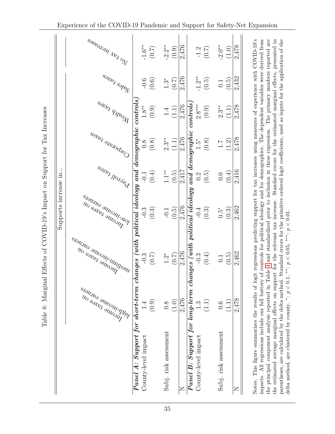<span id="page-35-0"></span>

|                                                                                                                                                                                                     |                                                   |                      | Supports increase in                                                                               |                                                                  |                    |              |                    |                           |
|-----------------------------------------------------------------------------------------------------------------------------------------------------------------------------------------------------|---------------------------------------------------|----------------------|----------------------------------------------------------------------------------------------------|------------------------------------------------------------------|--------------------|--------------|--------------------|---------------------------|
|                                                                                                                                                                                                     |                                                   |                      |                                                                                                    |                                                                  |                    |              |                    |                           |
|                                                                                                                                                                                                     |                                                   |                      | Throme kategory                                                                                    |                                                                  |                    |              |                    |                           |
|                                                                                                                                                                                                     | Night income takes                                | . Medium income came | <b>DW-INCOME CALIFORS</b>                                                                          | <b>PANDON REAGE</b>                                              | Corporate rates    | Wealth takes | <b>Sales</b> Rakes | <b>SOSE TAN TRUCKSOSE</b> |
| Panel A: Support for short-term changes                                                                                                                                                             |                                                   |                      | with political ideology and demographic controls                                                   |                                                                  |                    |              |                    |                           |
| County-level impact                                                                                                                                                                                 | $\ddot{ }$                                        | $-0.3$               | $-0.3$                                                                                             | $-0.1$                                                           | 0.8                | $1.8**$      | $-0.6$             | $-1.6**$                  |
|                                                                                                                                                                                                     | (0.9)                                             | (0.7)                | $(0.3)$                                                                                            | $(0.4)$                                                          | $(0.8)$            | (0.9)        | $(0.6)$            | $(0.7)$                   |
| Subj. risk assessment                                                                                                                                                                               | 0.8                                               | $\ddot{2}$           | $-0.1$                                                                                             | $1 \cdot 1^*$                                                    | $2.3**$            | 1.4          | $1.3*$             | $-2.2**$                  |
|                                                                                                                                                                                                     | (1.0)                                             | (0.7)                | (0.5)                                                                                              | (0.5)                                                            | (1.1)              | (1.1)        | (0.7)              | (0.9)                     |
|                                                                                                                                                                                                     | 2,476                                             | 2,476                | $2,476$                                                                                            | 2,417                                                            | 2,476              | 2,476        | 2,476              | 2,476                     |
| Panel B: Support for long-term changes (with political ideology                                                                                                                                     |                                                   |                      |                                                                                                    |                                                                  | $and\ demographic$ | controls     |                    |                           |
| County-level impact                                                                                                                                                                                 | 1.3                                               | $-0.3$               | $-0.4$                                                                                             |                                                                  | $1.5*$             | $2.8***$     | $-1.2**$           |                           |
|                                                                                                                                                                                                     | (1.1)                                             | (0.4)                | $\left(0.3\right)$                                                                                 | $\begin{array}{c} 0.2 \\ 0.5 \end{array}$                        | $(0.8)$            | $(0.9)$      | (0.5)              | $-1.2$<br>(0.7)           |
| Subj. risk assessment                                                                                                                                                                               | 0.6                                               | $\overline{0.1}$     | $\ddot{5}$                                                                                         | $0.0\,$                                                          | $\overline{1.1}$   | $2.3**$      | $\overline{0}$ .   | $-2.0**$                  |
|                                                                                                                                                                                                     | $\left(\begin{matrix}1.1\ 1. \end{matrix}\right)$ | (0.5)                | (0.3)                                                                                              | (0.4)                                                            | (1.2)              | (1.1)        | (0.5)              | (1.0)                     |
| $\mathsf{z}$                                                                                                                                                                                        | 2,478                                             | 2,462                | 2,462                                                                                              | 2,416                                                            | 2,478              | 2,478        | 2,432              | 2,478                     |
| Notes: This figure summarizes the results of logit regressions predicting support for tax increases using measures of experience with COVID-19's                                                    |                                                   |                      |                                                                                                    |                                                                  |                    |              |                    |                           |
| the principal component analysis reported in Table 4 and standardized prior to inclusion in these regression. The primary numbers reported are<br>impacts. All regressions include our full battery |                                                   |                      | of controls for political ideology and for demographics. The dependent variables were derived from |                                                                  |                    |              |                    |                           |
| the estimated average marginal effects on support for the relevant tax increase.                                                                                                                    |                                                   |                      |                                                                                                    | Standard errors for the estimated marginal effects, presented in |                    |              |                    |                           |

parentheses, are calculated by the delta method. Standard errors for the primitive ordered logit coefficients, used as inputs for the application of the

\*:  $p < 0.1$ , \*\*:  $p < 0.05$ , \*\*\*:  $p < 0.01$ .

delta method, are clustered by county.

Table 8: Marginal Effects of COVID-19's Impact on Support for Tax Increases Table 8: Marginal Effects of COVID-19's Impact on Support for Tax Increases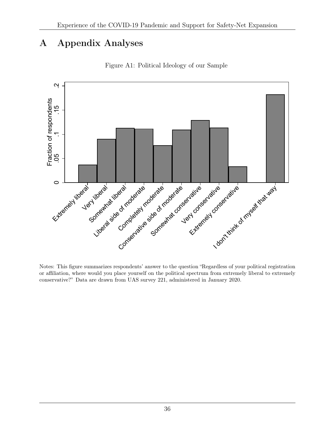# A Appendix Analyses

<span id="page-36-0"></span>

Figure A1: Political Ideology of our Sample

Notes: This figure summarizes respondents' answer to the question "Regardless of your political registration or affiliation, where would you place yourself on the political spectrum from extremely liberal to extremely conservative?" Data are drawn from UAS survey 221, administered in January 2020.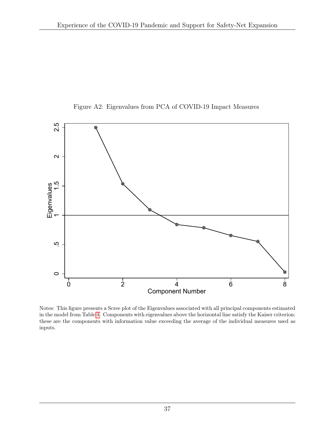<span id="page-37-0"></span>

Figure A2: Eigenvalues from PCA of COVID-19 Impact Measures

Notes: This figure presents a Scree plot of the Eigenvalues associated with all principal components estimated in the model from Table [4.](#page-31-0) Components with eigenvalues above the horizontal line satisfy the Kaiser criterion: these are the components with information value exceeding the average of the individual measures used as inputs.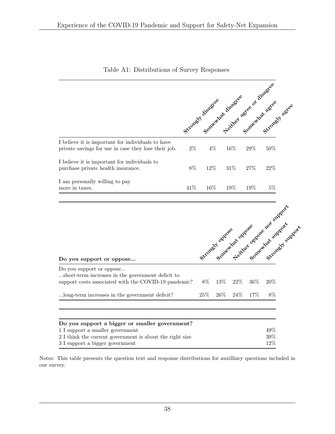<span id="page-38-0"></span>

|                                                                                                           | Strongly disaster disaster agree of disaster |        |        |     |       |
|-----------------------------------------------------------------------------------------------------------|----------------------------------------------|--------|--------|-----|-------|
| I believe it is important for individuals to have<br>private savings for use in case they lose their job. | $2\%$                                        | $4\%$  | 16%    | 29% | 50%   |
| I believe it is important for individuals to<br>purchase private health insurance.                        | 8%                                           | $12\%$ | $31\%$ | 27% | 22%   |
| I am personally willing to pay<br>more in taxes.                                                          | 41\%                                         | 16%    | 19%    | 19% | $5\%$ |

Table A1: Distributions of Survey Responses

|                                                                                                                                       |        |        |        |        | overcovered the filther oppose that supports |  |
|---------------------------------------------------------------------------------------------------------------------------------------|--------|--------|--------|--------|----------------------------------------------|--|
| Do you support or oppose                                                                                                              |        |        |        |        |                                              |  |
| Do you support or oppose<br>short-term increases in the government deficit to<br>support costs associated with the COVID-19 pandemic? | 8%     | $13\%$ | $22\%$ | $36\%$ | $20\%$                                       |  |
| long-term increases in the government deficit?                                                                                        | $25\%$ | $26\%$ | $24\%$ | $17\%$ | 8%                                           |  |
|                                                                                                                                       |        |        |        |        |                                              |  |
| Do you support a bigger or smaller government?                                                                                        |        |        |        |        |                                              |  |
| 1 I support a smaller government                                                                                                      |        |        |        |        | $49\%$                                       |  |
| 2 I think the current government is about the right size                                                                              |        |        |        |        | $39\%$                                       |  |
| 3 I support a bigger government                                                                                                       |        |        |        |        | 12%                                          |  |

Notes: This table presents the question text and response distributions for auxilliary questions included in our survey.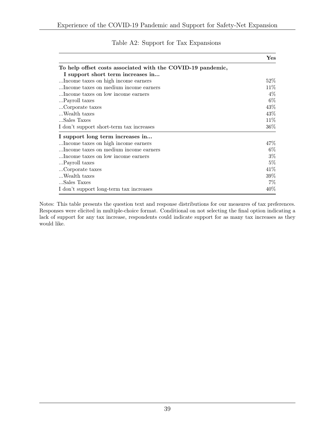<span id="page-39-0"></span>

|                                                             | ${\bf Yes}$ |
|-------------------------------------------------------------|-------------|
| To help offset costs associated with the COVID-19 pandemic, |             |
| I support short term increases in                           |             |
| Income taxes on high income earners.                        | $52\%$      |
| Income taxes on medium income earners                       | 11\%        |
| Income taxes on low income earners                          | $4\%$       |
| Payroll taxes                                               | $6\%$       |
| Corporate taxes                                             | 43\%        |
| $\ldots$ Wealth taxes                                       | 43%         |
| Sales Taxes                                                 | 11\%        |
| I don't support short-term tax increases                    | 36%         |
| I support long term increases in                            |             |
| Income taxes on high income earners.                        | 47\%        |
| Income taxes on medium income earners                       | $6\%$       |
| Income taxes on low income earners                          | $3\%$       |
| Payroll taxes                                               | $5\%$       |
| Corporate taxes                                             | 41\%        |
| Wealth taxes                                                | 39%         |
| Sales Taxes                                                 | $7\%$       |
| I don't support long-term tax increases                     | 40%         |

### Table A2: Support for Tax Expansions

Notes: This table presents the question text and response distributions for our measures of tax preferences. Responses were elicited in multiple-choice format. Conditional on not selecting the final option indicating a lack of support for any tax increase, respondents could indicate support for as many tax increases as they would like.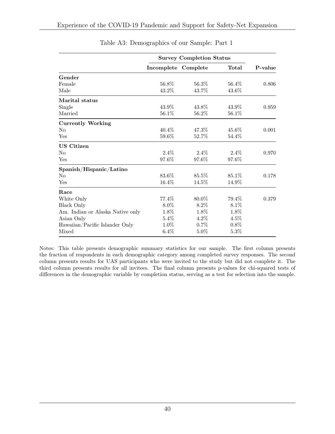<span id="page-40-0"></span>

|                                  | <b>Survey Completion Status</b> |         |         |         |
|----------------------------------|---------------------------------|---------|---------|---------|
|                                  | Incomplete Complete             |         | Total   | P-value |
| Gender                           |                                 |         |         |         |
| Female                           | 56.8%                           | 56.3%   | 56.4\%  | 0.806   |
| Male                             | 43.2%                           | 43.7%   | 43.6%   |         |
| Marital status                   |                                 |         |         |         |
| Single                           | 43.9%                           | 43.8%   | 43.9%   | 0.959   |
| Married                          | 56.1%                           | 56.2%   | 56.1%   |         |
| <b>Currently Working</b>         |                                 |         |         |         |
| N <sub>0</sub>                   | $40.4\%$                        | 47.3%   | 45.6%   | 0.001   |
| Yes                              | 59.6%                           | 52.7%   | 54.4%   |         |
| <b>US</b> Citizen                |                                 |         |         |         |
| N <sub>0</sub>                   | $2.4\%$                         | $2.4\%$ | $2.4\%$ | 0.970   |
| Yes                              | 97.6%                           | 97.6%   | 97.6%   |         |
| Spanish/Hispanic/Latino          |                                 |         |         |         |
| N <sub>0</sub>                   | 83.6%                           | 85.5%   | 85.1%   | 0.178   |
| Yes                              | 16.4%                           | 14.5%   | 14.9%   |         |
| Race                             |                                 |         |         |         |
| White Only                       | 77.4%                           | 80.0%   | 79.4%   | 0.379   |
| <b>Black Only</b>                | $8.0\%$                         | $8.2\%$ | $8.1\%$ |         |
| Am. Indian or Alaska Native only | 1.8%                            | 1.8%    | 1.8%    |         |
| Asian Only                       | $5.4\%$                         | $4.2\%$ | $4.5\%$ |         |
| Hawaiian/Pacific Islander Only   | $1.0\%$                         | $0.7\%$ | $0.8\%$ |         |
| Mixed                            | $6.4\%$                         | $5.0\%$ | 5.3%    |         |

|  | Table A3: Demographics of our Sample: Part 1 |  |  |  |
|--|----------------------------------------------|--|--|--|
|--|----------------------------------------------|--|--|--|

Notes: This table presents demographic summary statistics for our sample. The first column presents the fraction of respondents in each demographic category among completed survey responses. The second column presents results for UAS participants who were invited to the study but did not complete it. The third column presents results for all invitees. The final column presents p-values for chi-squared tests of differences in the demographic variable by completion status, serving as a test for selection into the sample.